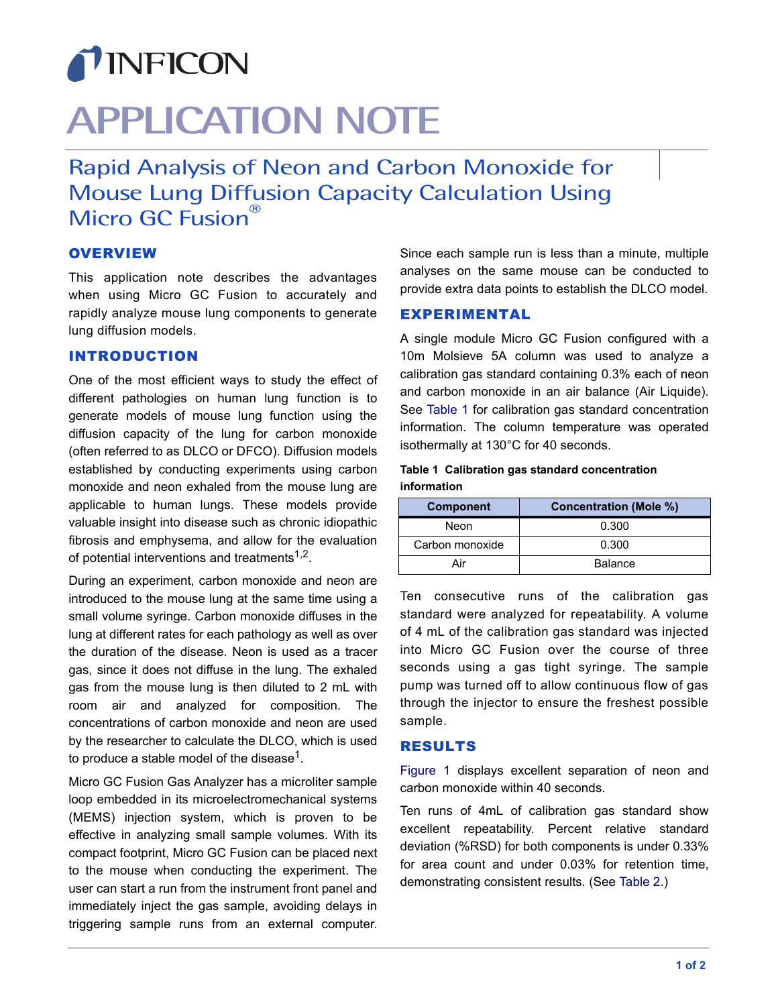

# **APPLICATION NOTE**

Rapid Analysis of Neon and Carbon Monoxide for Mouse Lung Diffusion Capacity Calculation Using Micro GC Fusion<sup>®</sup>

## **OVERVIEW**

This application note describes the advantages when using Micro GC Fusion to accurately and rapidly analyze mouse lung components to generate lung diffusion models.

# INTRODUCTION

One of the most efficient ways to study the effect of different pathologies on human lung function is to generate models of mouse lung function using the diffusion capacity of the lung for carbon monoxide (often referred to as DLCO or DFCO). Diffusion models established by conducting experiments using carbon monoxide and neon exhaled from the mouse lung are applicable to human lungs. These models provide valuable insight into disease such as chronic idiopathic fibrosis and emphysema, and allow for the evaluation of potential interventions and treatments<sup> $1,2$ </sup>.

During an experiment, carbon monoxide and neon are introduced to the mouse lung at the same time using a small volume syringe. Carbon monoxide diffuses in the lung at different rates for each pathology as well as over the duration of the disease. Neon is used as a tracer gas, since it does not diffuse in the lung. The exhaled gas from the mouse lung is then diluted to 2 mL with room air and analyzed for composition. The concentrations of carbon monoxide and neon are used by the researcher to calculate the DLCO, which is used to produce a stable model of the disease<sup>1</sup>.

Micro GC Fusion Gas Analyzer has a microliter sample loop embedded in its microelectromechanical systems (MEMS) injection system, which is proven to be effective in analyzing small sample volumes. With its compact footprint, Micro GC Fusion can be placed next to the mouse when conducting the experiment. The user can start a run from the instrument front panel and immediately inject the gas sample, avoiding delays in triggering sample runs from an external computer.

Since each sample run is less than a minute, multiple analyses on the same mouse can be conducted to provide extra data points to establish the DLCO model.

# EXPERIMENTAL

A single module Micro GC Fusion configured with a 10m Molsieve 5A column was used to analyze a calibration gas standard containing 0.3% each of neon and carbon monoxide in an air balance (Air Liquide). See [Table 1](#page-0-0) for calibration gas standard concentration information. The column temperature was operated isothermally at 130°C for 40 seconds.

### <span id="page-0-0"></span>**Table 1 Calibration gas standard concentration information**

| <b>Component</b> | <b>Concentration (Mole %)</b> |  |
|------------------|-------------------------------|--|
| Neon             | 0.300                         |  |
| Carbon monoxide  | 0.300                         |  |
| Air              | <b>Balance</b>                |  |

Ten consecutive runs of the calibration gas standard were analyzed for repeatability. A volume of 4 mL of the calibration gas standard was injected into Micro GC Fusion over the course of three seconds using a gas tight syringe. The sample pump was turned off to allow continuous flow of gas through the injector to ensure the freshest possible sample.

### RESULTS

[Figure 1](#page-1-0) displays excellent separation of neon and carbon monoxide within 40 seconds.

Ten runs of 4mL of calibration gas standard show excellent repeatability. Percent relative standard deviation (%RSD) for both components is under 0.33% for area count and under 0.03% for retention time, demonstrating consistent results. (See [Table 2.](#page-1-1))